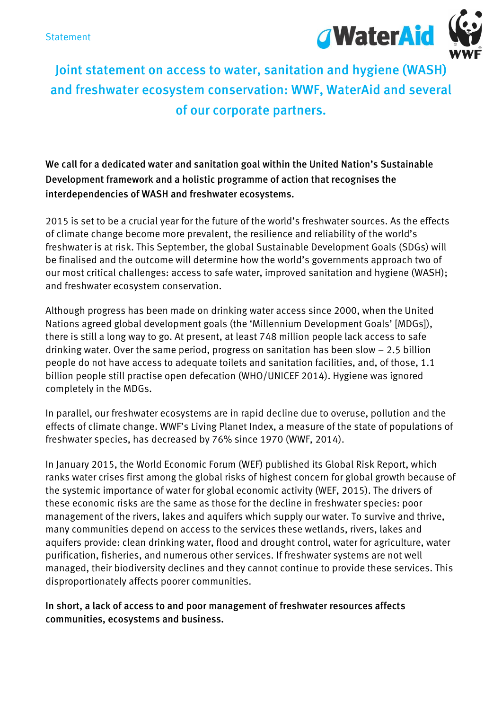

## Joint statement on access to water, sanitation and hygiene (WASH) and freshwater ecosystem conservation: WWF, WaterAid and several of our corporate partners.

We call for a dedicated water and sanitation goal within the United Nation's Sustainable Development framework and a holistic programme of action that recognises the interdependencies of WASH and freshwater ecosystems.

2015 is set to be a crucial year for the future of the world's freshwater sources. As the effects of climate change become more prevalent, the resilience and reliability of the world's freshwater is at risk. This September, the global Sustainable Development Goals (SDGs) will be finalised and the outcome will determine how the world's governments approach two of our most critical challenges: access to safe water, improved sanitation and hygiene (WASH); and freshwater ecosystem conservation.

Although progress has been made on drinking water access since 2000, when the United Nations agreed global development goals (the 'Millennium Development Goals' [MDGs]), there is still a long way to go. At present, at least 748 million people lack access to safe drinking water. Over the same period, progress on sanitation has been slow – 2.5 billion people do not have access to adequate toilets and sanitation facilities, and, of those, 1.1 billion people still practise open defecation (WHO/UNICEF 2014). Hygiene was ignored completely in the MDGs.

In parallel, our freshwater ecosystems are in rapid decline due to overuse, pollution and the effects of climate change. WWF's Living Planet Index, a measure of the state of populations of freshwater species, has decreased by 76% since 1970 (WWF, 2014).

In January 2015, the World Economic Forum (WEF) published its Global Risk Report, which ranks water crises first among the global risks of highest concern for global growth because of the systemic importance of water for global economic activity (WEF, 2015). The drivers of these economic risks are the same as those for the decline in freshwater species: poor management of the rivers, lakes and aquifers which supply our water. To survive and thrive, many communities depend on access to the services these wetlands, rivers, lakes and aquifers provide: clean drinking water, flood and drought control, water for agriculture, water purification, fisheries, and numerous other services. If freshwater systems are not well managed, their biodiversity declines and they cannot continue to provide these services. This disproportionately affects poorer communities.

In short, a lack of access to and poor management of freshwater resources affects communities, ecosystems and business.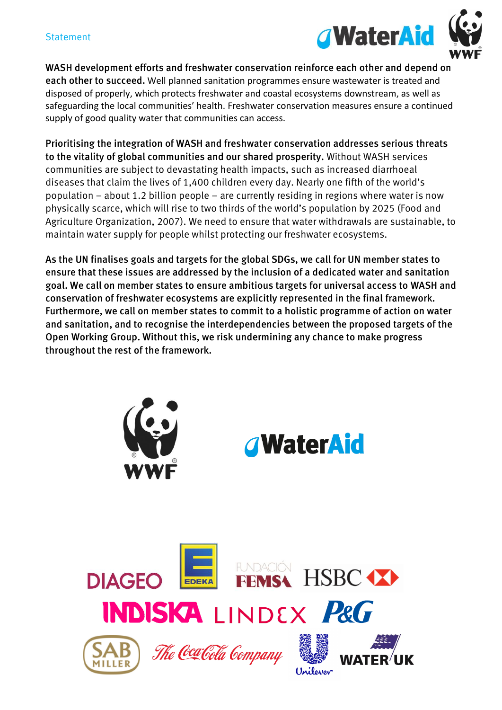

WASH development efforts and freshwater conservation reinforce each other and depend on each other to succeed**.** Well planned sanitation programmes ensure wastewater is treated and disposed of properly, which protects freshwater and coastal ecosystems downstream, as well as safeguarding the local communities' health. Freshwater conservation measures ensure a continued supply of good quality water that communities can access.

Prioritising the integration of WASH and freshwater conservation addresses serious threats to the vitality of global communities and our shared prosperity. Without WASH services communities are subject to devastating health impacts, such as increased diarrhoeal diseases that claim the lives of 1,400 children every day. Nearly one fifth of the world's population – about 1.2 billion people – are currently residing in regions where water is now physically scarce, which will rise to two thirds of the world's population by 2025 (Food and Agriculture Organization, 2007). We need to ensure that water withdrawals are sustainable, to maintain water supply for people whilst protecting our freshwater ecosystems.

As the UN finalises goals and targets for the global SDGs, we call for UN member states to ensure that these issues are addressed by the inclusion of a dedicated water and sanitation goal. We call on member states to ensure ambitious targets for universal access to WASH and conservation of freshwater ecosystems are explicitly represented in the final framework. Furthermore, we call on member states to commit to a holistic programme of action on water and sanitation, and to recognise the interdependencies between the proposed targets of the Open Working Group. Without this, we risk undermining any chance to make progress throughout the rest of the framework.